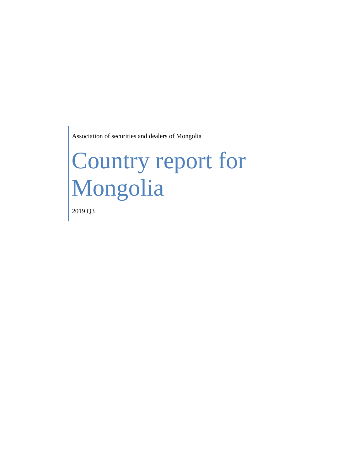Association of securities and dealers of Mongolia

# Country report for Mongolia

2019 Q3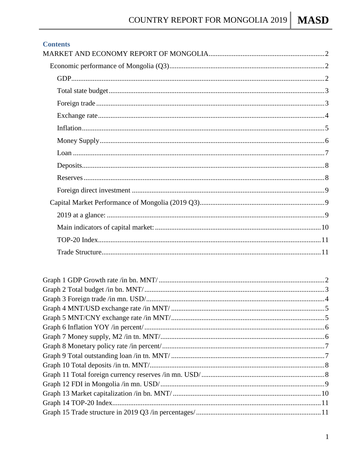#### **Contents**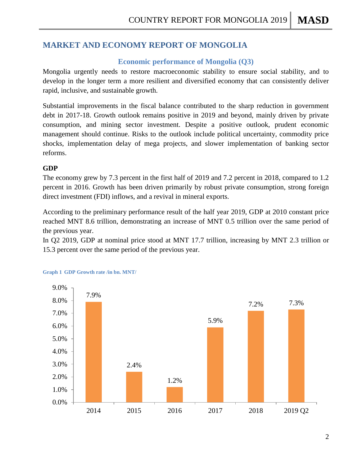## <span id="page-2-1"></span><span id="page-2-0"></span>**MARKET AND ECONOMY REPORT OF MONGOLIA**

## **Economic performance of Mongolia (Q3)**

Mongolia urgently needs to restore macroeconomic stability to ensure social stability, and to develop in the longer term a more resilient and diversified economy that can consistently deliver rapid, inclusive, and sustainable growth.

Substantial improvements in the fiscal balance contributed to the sharp reduction in government debt in 2017-18. Growth outlook remains positive in 2019 and beyond, mainly driven by private consumption, and mining sector investment. Despite a positive outlook, prudent economic management should continue. Risks to the outlook include political uncertainty, commodity price shocks, implementation delay of mega projects, and slower implementation of banking sector reforms.

## <span id="page-2-2"></span>**GDP**

The economy grew by 7.3 percent in the first half of 2019 and 7.2 percent in 2018, compared to 1.2 percent in 2016. Growth has been driven primarily by robust private consumption, strong foreign direct investment (FDI) inflows, and a revival in mineral exports.

According to the preliminary performance result of the half year 2019, GDP at 2010 constant price reached MNT 8.6 trillion, demonstrating an increase of MNT 0.5 trillion over the same period of the previous year.

In Q2 2019, GDP at nominal price stood at MNT 17.7 trillion, increasing by MNT 2.3 trillion or 15.3 percent over the same period of the previous year.



#### <span id="page-2-3"></span>**Graph 1 GDP Growth rate /in bn. MNT/**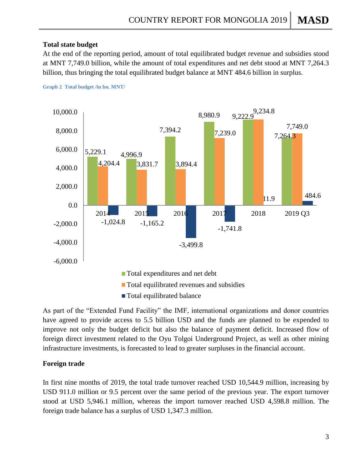## <span id="page-3-0"></span>**Total state budget**

At the end of the reporting period, amount of total equilibrated budget revenue and subsidies stood at MNT 7,749.0 billion, while the amount of total expenditures and net debt stood at MNT 7,264.3 billion, thus bringing the total equilibrated budget balance at MNT 484.6 billion in surplus.



<span id="page-3-2"></span>**Graph 2 Total budget /in bn. MNT/**

As part of the "Extended Fund Facility" the IMF, international organizations and donor countries have agreed to provide access to 5.5 billion USD and the funds are planned to be expended to improve not only the budget deficit but also the balance of payment deficit. Increased flow of foreign direct investment related to the Oyu Tolgoi Underground Project, as well as other mining infrastructure investments, is forecasted to lead to greater surpluses in the financial account.

## <span id="page-3-1"></span>**Foreign trade**

<span id="page-3-3"></span>In first nine months of 2019, the total trade turnover reached USD 10,544.9 million, increasing by USD 911.0 million or 9.5 percent over the same period of the previous year. The export turnover stood at USD 5,946.1 million, whereas the import turnover reached USD 4,598.8 million. The foreign trade balance has a surplus of USD 1,347.3 million.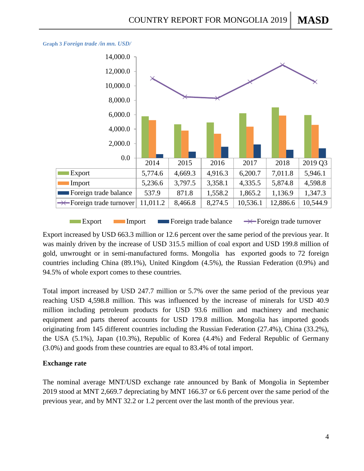

**Graph 3** *Foreign trade /in mn. USD/*

**Export** Import Foreign trade balance  $\rightarrow \leftarrow$  Foreign trade turnover

Export increased by USD 663.3 million or 12.6 percent over the same period of the previous year. It was mainly driven by the increase of USD 315.5 million of coal export and USD 199.8 million of gold, unwrought or in semi-manufactured forms. Mongolia has exported goods to 72 foreign countries including China (89.1%), United Kingdom (4.5%), the Russian Federation (0.9%) and 94.5% of whole export comes to these countries.

Total import increased by USD 247.7 million or 5.7% over the same period of the previous year reaching USD 4,598.8 million. This was influenced by the increase of minerals for USD 40.9 million including petroleum products for USD 93.6 million and machinery and mechanic equipment and parts thereof accounts for USD 179.8 million. Mongolia has imported goods originating from 145 different countries including the Russian Federation (27.4%), China (33.2%), the USA (5.1%), Japan (10.3%), Republic of Korea (4.4%) and Federal Republic of Germany (3.0%) and goods from these countries are equal to 83.4% of total import.

## <span id="page-4-0"></span>**Exchange rate**

The nominal average MNT/USD exchange rate announced by Bank of Mongolia in September 2019 stood at MNT 2,669.7 depreciating by MNT 166.37 or 6.6 percent over the same period of the previous year, and by MNT 32.2 or 1.2 percent over the last month of the previous year.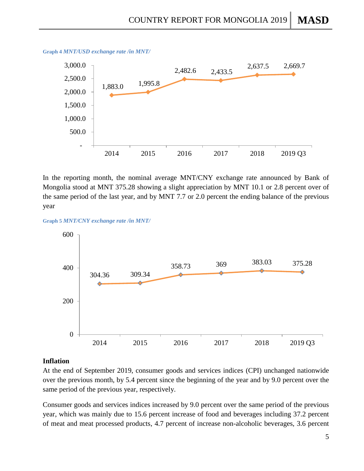

<span id="page-5-1"></span>**Graph 4** *MNT/USD exchange rate /in MNT/*

In the reporting month, the nominal average MNT/CNY exchange rate announced by Bank of Mongolia stood at MNT 375.28 showing a slight appreciation by MNT 10.1 or 2.8 percent over of the same period of the last year, and by MNT 7.7 or 2.0 percent the ending balance of the previous year

<span id="page-5-2"></span>



#### <span id="page-5-0"></span>**Inflation**

At the end of September 2019, consumer goods and services indices (CPI) unchanged nationwide over the previous month, by 5.4 percent since the beginning of the year and by 9.0 percent over the same period of the previous year, respectively.

Consumer goods and services indices increased by 9.0 percent over the same period of the previous year, which was mainly due to 15.6 percent increase of food and beverages including 37.2 percent of meat and meat processed products, 4.7 percent of increase non-alcoholic beverages, 3.6 percent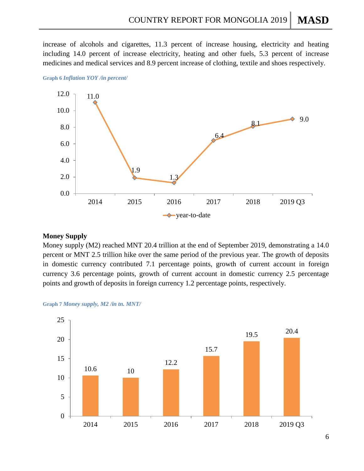increase of alcohols and cigarettes, 11.3 percent of increase housing, electricity and heating including 14.0 percent of increase electricity, heating and other fuels, 5.3 percent of increase medicines and medical services and 8.9 percent increase of clothing, textile and shoes respectively.



<span id="page-6-1"></span>**Graph 6** *Inflation YOY /in percent/*

## <span id="page-6-0"></span>**Money Supply**

Money supply (M2) reached MNT 20.4 trillion at the end of September 2019, demonstrating a 14.0 percent or MNT 2.5 trillion hike over the same period of the previous year. The growth of deposits in domestic currency contributed 7.1 percentage points, growth of current account in foreign currency 3.6 percentage points, growth of current account in domestic currency 2.5 percentage points and growth of deposits in foreign currency 1.2 percentage points, respectively.

<span id="page-6-2"></span>

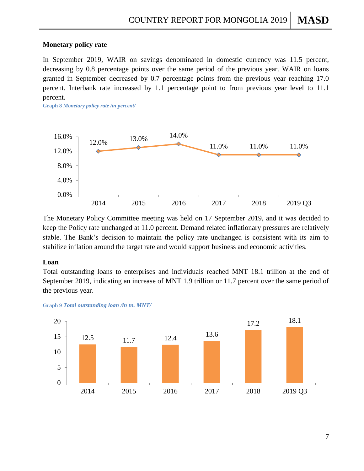#### **Monetary policy rate**

In September 2019, WAIR on savings denominated in domestic currency was 11.5 percent, decreasing by 0.8 percentage points over the same period of the previous year. WAIR on loans granted in September decreased by 0.7 percentage points from the previous year reaching 17.0 percent. Interbank rate increased by 1.1 percentage point to from previous year level to 11.1 percent.

<span id="page-7-1"></span>**Graph 8** *Monetary policy rate /in percent/*



The Monetary Policy Committee meeting was held on 17 September 2019, and it was decided to keep the Policy rate unchanged at 11.0 percent. Demand related inflationary pressures are relatively stable. The Bank's decision to maintain the policy rate unchanged is consistent with its aim to stabilize inflation around the target rate and would support business and economic activities.

#### <span id="page-7-0"></span>**Loan**

Total outstanding loans to enterprises and individuals reached MNT 18.1 trillion at the end of September 2019, indicating an increase of MNT 1.9 trillion or 11.7 percent over the same period of the previous year.



<span id="page-7-2"></span>**Graph 9** *Total outstanding loan /in tn. MNT/*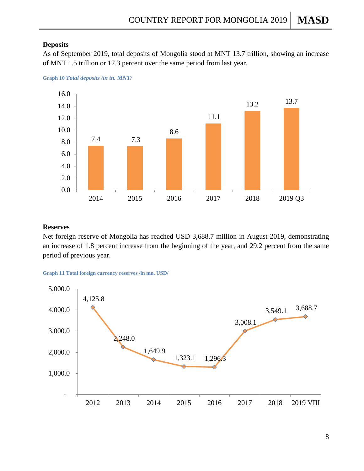## <span id="page-8-0"></span>**Deposits**

As of September 2019, total deposits of Mongolia stood at MNT 13.7 trillion, showing an increase of MNT 1.5 trillion or 12.3 percent over the same period from last year.



<span id="page-8-2"></span>**Graph 10** *Total deposits /in tn. MNT/*

## <span id="page-8-1"></span>**Reserves**

Net foreign reserve of Mongolia has reached USD 3,688.7 million in August 2019, demonstrating an increase of 1.8 percent increase from the beginning of the year, and 29.2 percent from the same period of previous year.

<span id="page-8-3"></span>

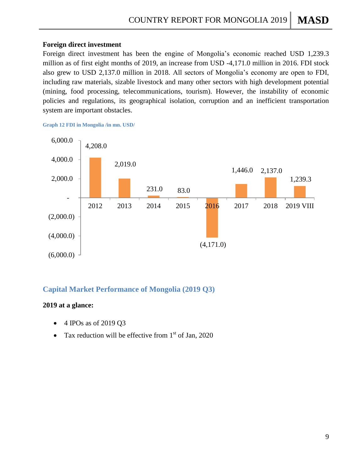## <span id="page-9-0"></span>**Foreign direct investment**

Foreign direct investment has been the engine of Mongolia's economic reached USD 1,239.3 million as of first eight months of 2019, an increase from USD -4,171.0 million in 2016. FDI stock also grew to USD 2,137.0 million in 2018. All sectors of Mongolia's economy are open to FDI, including raw materials, sizable livestock and many other sectors with high development potential (mining, food processing, telecommunications, tourism). However, the instability of economic policies and regulations, its geographical isolation, corruption and an inefficient transportation system are important obstacles.

<span id="page-9-3"></span>**Graph 12 FDI in Mongolia /in mn. USD/**



## <span id="page-9-1"></span>**Capital Market Performance of Mongolia (2019 Q3)**

## <span id="page-9-2"></span>**2019 at a glance:**

- 4 IPOs as of 2019 Q3
- Tax reduction will be effective from  $1<sup>st</sup>$  of Jan, 2020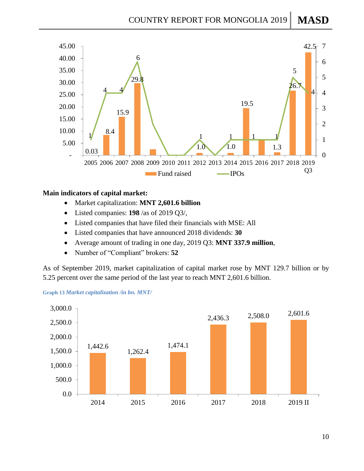

## <span id="page-10-0"></span>**Main indicators of capital market:**

- Market capitalization: **MNT 2,601.6 billion**
- Listed companies: **198** /as of 2019 Q3/,
- Listed companies that have filed their financials with MSE: All
- Listed companies that have announced 2018 dividends: **30**
- Average amount of trading in one day, 2019 Q3: **MNT 337.9 million**,
- Number of "Compliant" brokers: **52**

As of September 2019, market capitalization of capital market rose by MNT 129.7 billion or by 5.25 percent over the same period of the last year to reach MNT 2,601.6 billion.



<span id="page-10-1"></span>**Graph 13** *Market capitalization /in bn. MNT/*